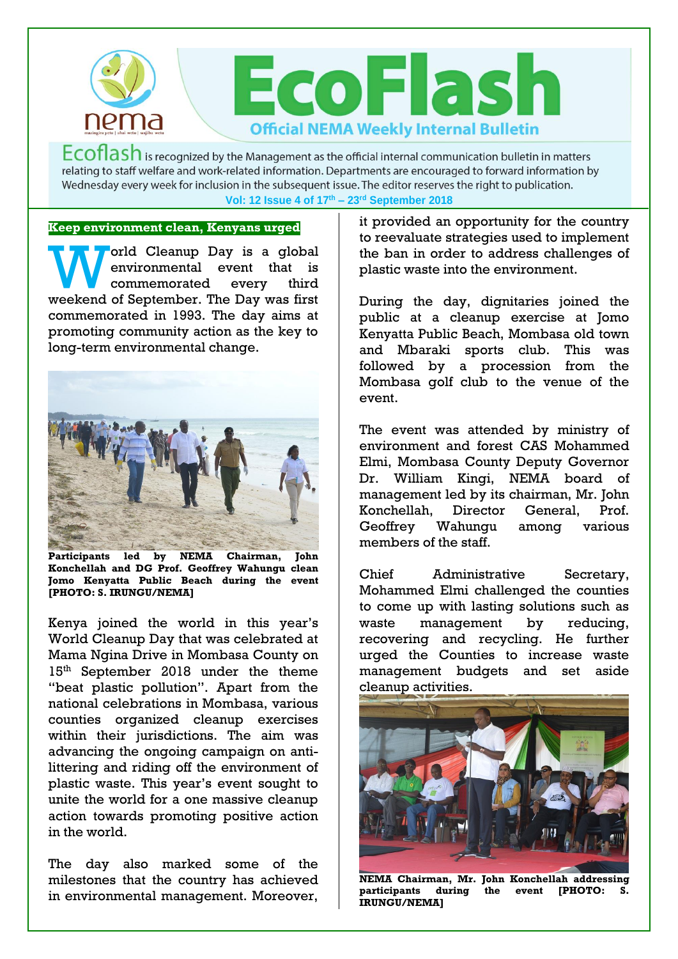

 $Ecoflash$  is recognized by the Management as the official internal communication bulletin in matters relating to staff welfare and work-related information. Departments are encouraged to forward information by Wednesday every week for inclusion in the subsequent issue. The editor reserves the right to publication. **Vol: 12 Issue 4 of 17th – 23rd September 2018**

## **Keep environment clean, Kenyans urged**

orld Cleanup Day is a global environmental event that is commemorated every third World Cleanup Day is a global<br>
environmental event that is<br>
commemorated every third<br>
weekend of September. The Day was first commemorated in 1993. The day aims at promoting community action as the key to long-term environmental change.



**Participants led by NEMA Chairman, John Konchellah and DG Prof. Geoffrey Wahungu clean Jomo Kenyatta Public Beach during the event [PHOTO: S. IRUNGU/NEMA]** 

Kenya joined the world in this year's World Cleanup Day that was celebrated at Mama Ngina Drive in Mombasa County on 15<sup>th</sup> September 2018 under the theme "beat plastic pollution". Apart from the national celebrations in Mombasa, various counties organized cleanup exercises within their jurisdictions. The aim was advancing the ongoing campaign on antilittering and riding off the environment of plastic waste. This year's event sought to unite the world for a one massive cleanup action towards promoting positive action in the world.

The day also marked some of the milestones that the country has achieved in environmental management. Moreover,

it provided an opportunity for the country to reevaluate strategies used to implement the ban in order to address challenges of plastic waste into the environment.

During the day, dignitaries joined the public at a cleanup exercise at Jomo Kenyatta Public Beach, Mombasa old town and Mbaraki sports club. This was followed by a procession from the Mombasa golf club to the venue of the event.

The event was attended by ministry of environment and forest CAS Mohammed Elmi, Mombasa County Deputy Governor Dr. William Kingi, NEMA board of management led by its chairman, Mr. John Konchellah, Director General, Prof. Geoffrey Wahungu among various members of the staff.

Chief Administrative Secretary, Mohammed Elmi challenged the counties to come up with lasting solutions such as waste management by reducing, recovering and recycling. He further urged the Counties to increase waste management budgets and set aside cleanup activities.



**NEMA Chairman, Mr. John Konchellah addressing participants during the event [PHOTO: S. IRUNGU/NEMA]**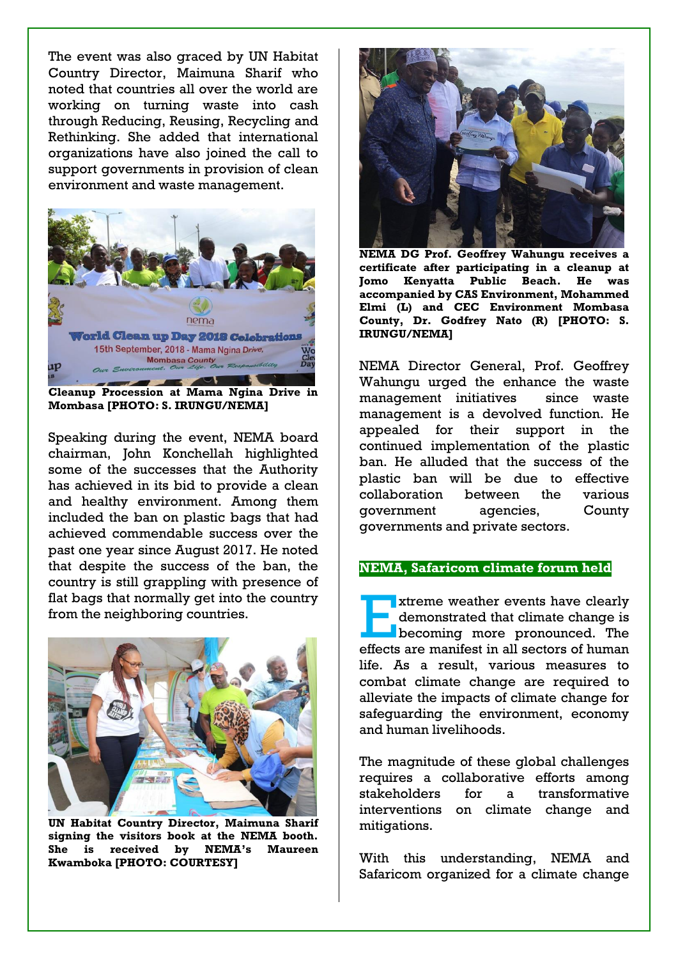The event was also graced by UN Habitat Country Director, Maimuna Sharif who noted that countries all over the world are working on turning waste into cash through Reducing, Reusing, Recycling and Rethinking. She added that international organizations have also joined the call to support governments in provision of clean environment and waste management.



**Mombasa [PHOTO: S. IRUNGU/NEMA]** 

Speaking during the event, NEMA board chairman, John Konchellah highlighted some of the successes that the Authority has achieved in its bid to provide a clean and healthy environment. Among them included the ban on plastic bags that had achieved commendable success over the past one year since August 2017. He noted that despite the success of the ban, the country is still grappling with presence of flat bags that normally get into the country from the neighboring countries.



**UN Habitat Country Director, Maimuna Sharif signing the visitors book at the NEMA booth. She is received by NEMA's Maureen Kwamboka [PHOTO: COURTESY]** 



**NEMA DG Prof. Geoffrey Wahungu receives a certificate after participating in a cleanup at Jomo Kenyatta Public Beach. He was accompanied by CAS Environment, Mohammed Elmi (L) and CEC Environment Mombasa County, Dr. Godfrey Nato (R) [PHOTO: S. IRUNGU/NEMA]** 

NEMA Director General, Prof. Geoffrey Wahungu urged the enhance the waste management initiatives since waste management is a devolved function. He appealed for their support in the continued implementation of the plastic ban. He alluded that the success of the plastic ban will be due to effective collaboration between the various government agencies, County governments and private sectors.

## **NEMA, Safaricom climate forum held**

xtreme weather events have clearly<br>demonstrated that climate change is<br>becoming more pronounced. The demonstrated that climate change is becoming more pronounced. The effects are manifest in all sectors of human life. As a result, various measures to combat climate change are required to alleviate the impacts of climate change for safeguarding the environment, economy and human livelihoods.

The magnitude of these global challenges requires a collaborative efforts among stakeholders for a transformative interventions on climate change and mitigations.

With this understanding, NEMA and Safaricom organized for a climate change